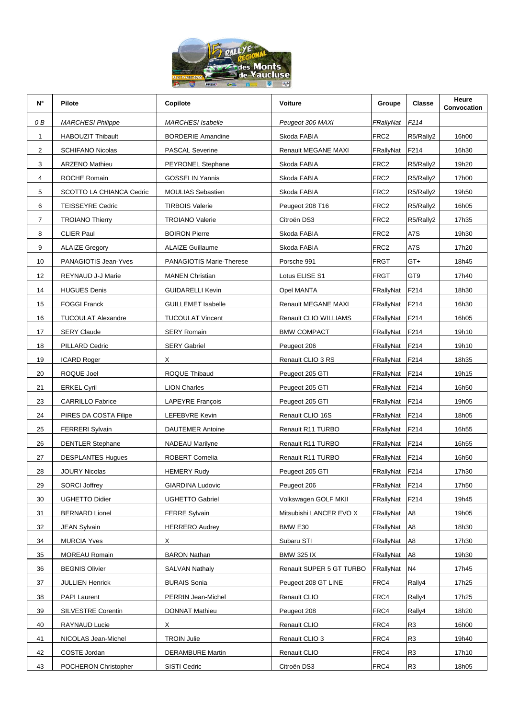

| N°             | <b>Pilote</b>            | Copilote                  | Voiture                  | Groupe           | <b>Classe</b>   | Heure<br>Convocation |
|----------------|--------------------------|---------------------------|--------------------------|------------------|-----------------|----------------------|
| 0 B            | <b>MARCHESI Philippe</b> | <b>MARCHESI</b> Isabelle  | Peugeot 306 MAXI         | FRallyNat F214   |                 |                      |
| 1              | <b>HABOUZIT Thibault</b> | <b>BORDERIE Amandine</b>  | Skoda FABIA              | FRC <sub>2</sub> | R5/Rally2       | 16h00                |
| $\overline{c}$ | <b>SCHIFANO Nicolas</b>  | <b>PASCAL Severine</b>    | Renault MEGANE MAXI      | FRallyNat        | F214            | 16h30                |
| 3              | <b>ARZENO Mathieu</b>    | <b>PEYRONEL Stephane</b>  | Skoda FABIA              | FRC <sub>2</sub> | R5/Rally2       | 19h20                |
| 4              | ROCHE Romain             | <b>GOSSELIN Yannis</b>    | Skoda FABIA              | FRC <sub>2</sub> | R5/Rally2       | 17h00                |
| 5              | SCOTTO LA CHIANCA Cedric | <b>MOULIAS Sebastien</b>  | Skoda FABIA              | FRC <sub>2</sub> | R5/Rally2       | 19h50                |
| 6              | <b>TEISSEYRE Cedric</b>  | <b>TIRBOIS Valerie</b>    | Peugeot 208 T16          | FRC <sub>2</sub> | R5/Rally2       | 16h05                |
| $\overline{7}$ | <b>TROIANO Thierry</b>   | <b>TROIANO Valerie</b>    | Citroën DS3              | FRC <sub>2</sub> | R5/Rally2       | 17h35                |
| 8              | <b>CLIER Paul</b>        | <b>BOIRON Pierre</b>      | Skoda FABIA              | FRC <sub>2</sub> | A7S             | 19h30                |
| 9              | <b>ALAIZE Gregory</b>    | <b>ALAIZE Guillaume</b>   | Skoda FABIA              | FRC <sub>2</sub> | A7S             | 17h20                |
| 10             | PANAGIOTIS Jean-Yves     | PANAGIOTIS Marie-Therese  | Porsche 991              | <b>FRGT</b>      | GT+             | 18h45                |
| 12             | REYNAUD J-J Marie        | <b>MANEN Christian</b>    | Lotus ELISE S1           | <b>FRGT</b>      | GT <sub>9</sub> | 17h40                |
| 14             | <b>HUGUES Denis</b>      | <b>GUIDARELLI Kevin</b>   | Opel MANTA               | FRallyNat        | F214            | 18h30                |
| 15             | <b>FOGGI Franck</b>      | <b>GUILLEMET Isabelle</b> | Renault MEGANE MAXI      | FRallyNat        | F214            | 16h30                |
| 16             | TUCOULAT Alexandre       | <b>TUCOULAT Vincent</b>   | Renault CLIO WILLIAMS    | FRallyNat F214   |                 | 16h05                |
| 17             | <b>SERY Claude</b>       | <b>SERY Romain</b>        | <b>BMW COMPACT</b>       | FRallyNat F214   |                 | 19h10                |
| 18             | PILLARD Cedric           | <b>SERY Gabriel</b>       | Peugeot 206              | FRallyNat F214   |                 | 19h10                |
| 19             | ICARD Roger              | X.                        | Renault CLIO 3 RS        | FRallyNat        | F214            | 18h35                |
| 20             | ROQUE Joel               | ROQUE Thibaud             | Peugeot 205 GTI          | FRallyNat F214   |                 | 19h15                |
| 21             | <b>ERKEL Cyril</b>       | <b>LION Charles</b>       | Peugeot 205 GTI          | FRallyNat F214   |                 | 16h50                |
| 23             | <b>CARRILLO Fabrice</b>  | LAPEYRE François          | Peugeot 205 GTI          | FRallyNat        | F214            | 19h05                |
| 24             | PIRES DA COSTA Filipe    | LEFEBVRE Kevin            | Renault CLIO 16S         | FRallyNat        | F214            | 18h05                |
| 25             | <b>FERRERI Sylvain</b>   | <b>DAUTEMER Antoine</b>   | Renault R11 TURBO        | FRallyNat F214   |                 | 16h55                |
| 26             | <b>DENTLER Stephane</b>  | NADEAU Marilyne           | Renault R11 TURBO        | FRallyNat        | F214            | 16h55                |
| 27             | <b>DESPLANTES Hugues</b> | ROBERT Cornelia           | Renault R11 TURBO        | FRallyNat        | F214            | 16h50                |
| 28             | <b>JOURY Nicolas</b>     | <b>HEMERY Rudy</b>        | Peugeot 205 GTI          | FRallyNat F214   |                 | 17h30                |
| 29             | <b>SORCI Joffrey</b>     | <b>GIARDINA Ludovic</b>   | Peugeot 206              | FRallyNat        | F214            | 17h50                |
| 30             | <b>UGHETTO Didier</b>    | UGHETTO Gabriel           | Volkswagen GOLF MKII     | FRallyNat        | F214            | 19h45                |
| 31             | <b>BERNARD Lionel</b>    | <b>FERRE Sylvain</b>      | Mitsubishi LANCER EVO X  | FRallyNat        | A <sub>8</sub>  | 19h05                |
| 32             | JEAN Sylvain             | <b>HERRERO Audrey</b>     | BMW E30                  | FRallyNat        | A8              | 18h30                |
| 34             | <b>MURCIA Yves</b>       | X                         | Subaru STI               | FRallyNat        | A8              | 17h30                |
| 35             | <b>MOREAU Romain</b>     | <b>BARON Nathan</b>       | <b>BMW 325 IX</b>        | FRallyNat        | A8              | 19h30                |
| 36             | <b>BEGNIS Olivier</b>    | <b>SALVAN Nathaly</b>     | Renault SUPER 5 GT TURBO | FRallyNat        | N4              | 17h45                |
| 37             | <b>JULLIEN Henrick</b>   | <b>BURAIS Sonia</b>       | Peugeot 208 GT LINE      | FRC4             | Rally4          | 17h25                |
| 38             | <b>PAPI Laurent</b>      | PERRIN Jean-Michel        | Renault CLIO             | FRC4             | Rally4          | 17h25                |
| 39             | SILVESTRE Corentin       | DONNAT Mathieu            | Peugeot 208              | FRC4             | Rally4          | 18h20                |
| 40             | RAYNAUD Lucie            | X                         | Renault CLIO             | FRC4             | R <sub>3</sub>  | 16h00                |
| 41             | NICOLAS Jean-Michel      | <b>TROIN Julie</b>        | Renault CLIO 3           | FRC4             | R3              | 19h40                |
| 42             | COSTE Jordan             | <b>DERAMBURE Martin</b>   | Renault CLIO             | FRC4             | R <sub>3</sub>  | 17h10                |
| 43             | POCHERON Christopher     | SISTI Cedric              | Citroën DS3              | FRC4             | R <sub>3</sub>  | 18h05                |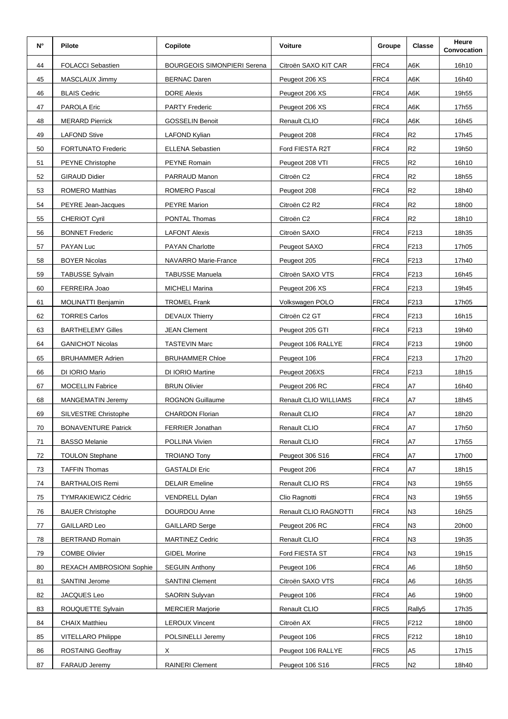| N° | <b>Pilote</b>              | Copilote                           | Voiture                | Groupe | <b>Classe</b>  | Heure<br>Convocation |
|----|----------------------------|------------------------------------|------------------------|--------|----------------|----------------------|
| 44 | <b>FOLACCI Sebastien</b>   | <b>BOURGEOIS SIMONPIERI Serena</b> | Citroën SAXO KIT CAR   | FRC4   | A6K            | 16h10                |
| 45 | MASCLAUX Jimmy             | <b>BERNAC Daren</b>                | Peugeot 206 XS         | FRC4   | A6K            | 16h40                |
| 46 | <b>BLAIS Cedric</b>        | <b>DORE Alexis</b>                 | Peugeot 206 XS         | FRC4   | A6K            | 19h55                |
| 47 | PAROLA Eric                | <b>PARTY Frederic</b>              | Peugeot 206 XS         | FRC4   | A6K            | 17h55                |
| 48 | <b>MERARD Pierrick</b>     | <b>GOSSELIN Benoit</b>             | Renault CLIO           | FRC4   | A6K            | 16h45                |
| 49 | <b>LAFOND Stive</b>        | LAFOND Kylian                      | Peugeot 208            | FRC4   | R <sub>2</sub> | 17h45                |
| 50 | <b>FORTUNATO Frederic</b>  | <b>ELLENA Sebastien</b>            | Ford FIESTA R2T        | FRC4   | R <sub>2</sub> | 19h50                |
| 51 | PEYNE Christophe           | <b>PEYNE Romain</b>                | Peugeot 208 VTI        | FRC5   | R <sub>2</sub> | 16h10                |
| 52 | <b>GIRAUD Didier</b>       | PARRAUD Manon                      | Citroën C2             | FRC4   | R <sub>2</sub> | 18h55                |
| 53 | ROMERO Matthias            | ROMERO Pascal                      | Peugeot 208            | FRC4   | R <sub>2</sub> | 18h40                |
| 54 | PEYRE Jean-Jacques         | <b>PEYRE Marion</b>                | Citroën C2 R2          | FRC4   | R <sub>2</sub> | 18h00                |
| 55 | <b>CHERIOT Cyril</b>       | PONTAL Thomas                      | Citroën C <sub>2</sub> | FRC4   | R <sub>2</sub> | 18h10                |
| 56 | <b>BONNET Frederic</b>     | <b>LAFONT Alexis</b>               | Citroën SAXO           | FRC4   | F213           | 18h35                |
| 57 | PAYAN Luc                  | <b>PAYAN Charlotte</b>             | Peugeot SAXO           | FRC4   | F213           | 17h05                |
| 58 | <b>BOYER Nicolas</b>       | NAVARRO Marie-France               | Peugeot 205            | FRC4   | F213           | 17h40                |
| 59 | <b>TABUSSE Sylvain</b>     | <b>TABUSSE Manuela</b>             | Citroën SAXO VTS       | FRC4   | F213           | 16h45                |
| 60 | FERREIRA Joao              | <b>MICHELI Marina</b>              | Peugeot 206 XS         | FRC4   | F213           | 19h45                |
| 61 | MOLINATTI Benjamin         | <b>TROMEL Frank</b>                | Volkswagen POLO        | FRC4   | F213           | 17h05                |
| 62 | <b>TORRES Carlos</b>       | <b>DEVAUX Thierry</b>              | Citroën C2 GT          | FRC4   | F213           | 16h15                |
| 63 | <b>BARTHELEMY Gilles</b>   | <b>JEAN Clement</b>                | Peugeot 205 GTI        | FRC4   | F213           | 19h40                |
| 64 | <b>GANICHOT Nicolas</b>    | <b>TASTEVIN Marc</b>               | Peugeot 106 RALLYE     | FRC4   | F213           | 19h00                |
| 65 | <b>BRUHAMMER Adrien</b>    | <b>BRUHAMMER Chloe</b>             | Peugeot 106            | FRC4   | F213           | 17h20                |
| 66 | DI IORIO Mario             | DI IORIO Martine                   | Peugeot 206XS          | FRC4   | F213           | 18h15                |
| 67 | <b>MOCELLIN Fabrice</b>    | <b>BRUN Olivier</b>                | Peugeot 206 RC         | FRC4   | A7             | 16h40                |
| 68 | MANGEMATIN Jeremy          | ROGNON Guillaume                   | Renault CLIO WILLIAMS  | FRC4   | A7             | 18h45                |
| 69 | SILVESTRE Christophe       | <b>CHARDON Florian</b>             | Renault CLIO           | FRC4   | A7             | 18h20                |
| 70 | <b>BONAVENTURE Patrick</b> | FERRIER Jonathan                   | Renault CLIO           | FRC4   | A7             | 17h50                |
| 71 | <b>BASSO Melanie</b>       | POLLINA Vivien                     | Renault CLIO           | FRC4   | A7             | 17h55                |
| 72 | <b>TOULON Stephane</b>     | <b>TROIANO Tony</b>                | Peugeot 306 S16        | FRC4   | A7             | 17h00                |
| 73 | <b>TAFFIN Thomas</b>       | <b>GASTALDI Eric</b>               | Peugeot 206            | FRC4   | A7             | 18h15                |
| 74 | <b>BARTHALOIS Remi</b>     | <b>DELAIR Emeline</b>              | Renault CLIO RS        | FRC4   | N3             | 19h55                |
| 75 | <b>TYMRAKIEWICZ Cédric</b> | VENDRELL Dylan                     | Clio Ragnotti          | FRC4   | N <sub>3</sub> | 19h55                |
| 76 | <b>BAUER Christophe</b>    | DOURDOU Anne                       | Renault CLIO RAGNOTTI  | FRC4   | N3             | 16h25                |
| 77 | GAILLARD Leo               | <b>GAILLARD Serge</b>              | Peugeot 206 RC         | FRC4   | N3             | 20h00                |
| 78 | <b>BERTRAND Romain</b>     | <b>MARTINEZ Cedric</b>             | Renault CLIO           | FRC4   | N <sub>3</sub> | 19h35                |
| 79 | <b>COMBE Olivier</b>       | <b>GIDEL Morine</b>                | Ford FIESTA ST         | FRC4   | N3             | 19h15                |
| 80 | REXACH AMBROSIONI Sophie   | <b>SEGUIN Anthony</b>              | Peugeot 106            | FRC4   | A6             | 18h50                |
| 81 | <b>SANTINI Jerome</b>      | <b>SANTINI Clement</b>             | Citroën SAXO VTS       | FRC4   | A6             | 16h35                |
| 82 | JACQUES Leo                | SAORIN Sulyvan                     | Peugeot 106            | FRC4   | A6             | 19h00                |
| 83 | ROUQUETTE Sylvain          | <b>MERCIER Marjorie</b>            | Renault CLIO           | FRC5   | Rally5         | 17h35                |
| 84 | <b>CHAIX Matthieu</b>      | <b>LEROUX Vincent</b>              | Citroën AX             | FRC5   | F212           | 18h00                |
| 85 | <b>VITELLARO Philippe</b>  | POLSINELLI Jeremy                  | Peugeot 106            | FRC5   | F212           | 18h10                |
| 86 | <b>ROSTAING Geoffray</b>   | X                                  | Peugeot 106 RALLYE     | FRC5   | A5             | 17h15                |
| 87 | <b>FARAUD Jeremy</b>       | <b>RAINERI Clement</b>             | Peugeot 106 S16        | FRC5   | N2             | 18h40                |